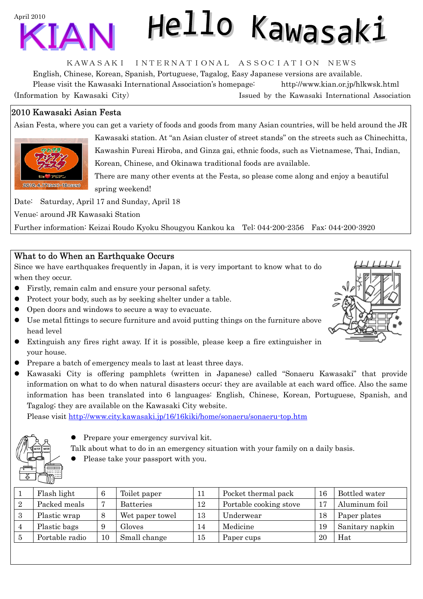

# Hello Kawasaki

KAWASAKI INTERNATIONAL ASSOCIATION NEWS

English, Chinese, Korean, Spanish, Portuguese, Tagalog, Easy Japanese versions are available. Please visit the Kawasaki International Association's homepage: <http://www.kian.or.jp/hlkwsk.html> (Information by Kawasaki City) Issued by the Kawasaki International Association

# 2010 Kawasaki Asian Festa

Asian Festa, where you can get a variety of foods and goods from many Asian countries, will be held around the JR



Kawasaki station. At "an Asian cluster of street stands" on the streets such as Chinechitta, Kawashin Fureai Hiroba, and Ginza gai, ethnic foods, such as Vietnamese, Thai, Indian, Korean, Chinese, and Okinawa traditional foods are available.

There are many other events at the Festa, so please come along and enjoy a beautiful spring weekend!

Date: Saturday, April 17 and Sunday, April 18

Venue: around JR Kawasaki Station

Further information: Keizai Roudo Kyoku Shougyou Kankou ka Tel: 044-200-2356 Fax: 044-200-3920

## What to do When an Earthquake Occurs

Since we have earthquakes frequently in Japan, it is very important to know what to do when they occur.

- Firstly, remain calm and ensure your personal safety.
- Protect your body, such as by seeking shelter under a table.
- Open doors and windows to secure a way to evacuate.
- Use metal fittings to secure furniture and avoid putting things on the furniture above head level
- Extinguish any fires right away. If it is possible, please keep a fire extinguisher in your house.
- Prepare a batch of emergency meals to last at least three days.
- z Kawasaki City is offering pamphlets (written in Japanese) called "Sonaeru Kawasaki" that provide information on what to do when natural disasters occur; they are available at each ward office. Also the same information has been translated into 6 languages: English, Chinese, Korean, Portuguese, Spanish, and Tagalog; they are available on the Kawasaki City website.

Please visit<http://www.city.kawasaki.jp/16/16kiki/home/sonaeru/sonaeru-top.htm>



 $\bullet$  Prepare your emergency survival kit.

Talk about what to do in an emergency situation with your family on a daily basis.

Please take your passport with you.

|              | Flash light    |    | Toilet paper     | 11 | Pocket thermal pack    | 16 | Bottled water   |
|--------------|----------------|----|------------------|----|------------------------|----|-----------------|
|              | Packed meals   |    | <b>Batteries</b> | 12 | Portable cooking stove | 17 | Aluminum foil   |
| 3            | Plastic wrap   |    | Wet paper towel  | 13 | Underwear              | 18 | Paper plates    |
|              | Plastic bags   |    | Gloves           | 14 | Medicine               | 19 | Sanitary napkin |
| $\mathbf{5}$ | Portable radio | 10 | Small change     | 15 | Paper cups             | 20 | Hat             |